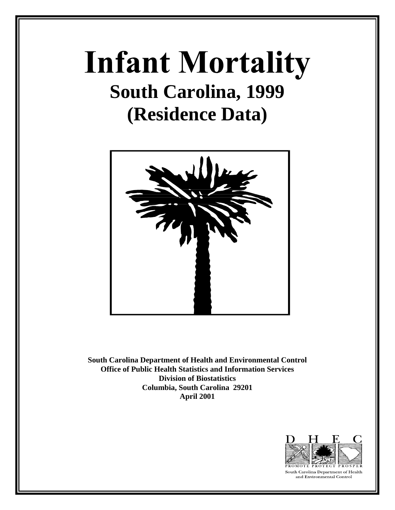# **Infant Mortality South Carolina, 1999 (Residence Data)**



**South Carolina Department of Health and Environmental Control Office of Public Health Statistics and Information Services Division of Biostatistics Columbia, South Carolina 29201 April 2001**



South Carolina Department of Health and Environmental Control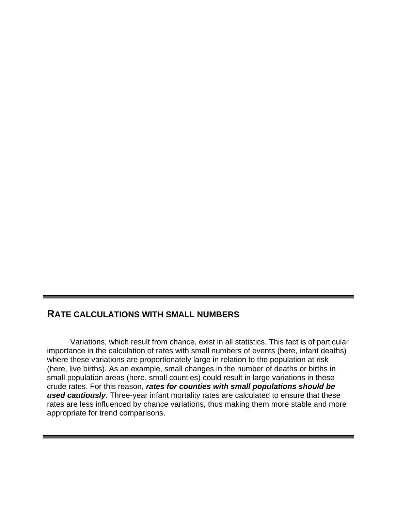# **RATE CALCULATIONS WITH SMALL NUMBERS**

Variations, which result from chance, exist in all statistics. This fact is of particular importance in the calculation of rates with small numbers of events (here, infant deaths) where these variations are proportionately large in relation to the population at risk (here, live births). As an example, small changes in the number of deaths or births in small population areas (here, small counties) could result in large variations in these crude rates. For this reason, *rates for counties with small populations should be used cautiously*. Three-year infant mortality rates are calculated to ensure that these rates are less influenced by chance variations, thus making them more stable and more appropriate for trend comparisons.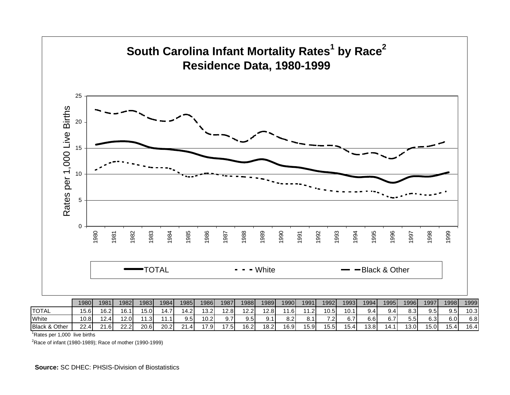

<sup>1</sup>Rates per 1,000 live births

 $2R$ ace of infant (1980-1989); Race of mother (1990-1999)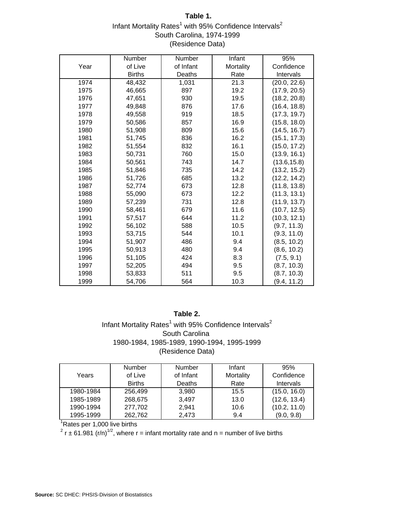# **Table 1.** Infant Mortality Rates<sup>1</sup> with 95% Confidence Intervals<sup>2</sup> South Carolina, 1974-1999 (Residence Data)

|      | Number        | Number    | Infant    | 95%          |
|------|---------------|-----------|-----------|--------------|
| Year | of Live       | of Infant | Mortality | Confidence   |
|      | <b>Births</b> | Deaths    | Rate      | Intervals    |
| 1974 | 48,432        | 1,031     | 21.3      | (20.0, 22.6) |
| 1975 | 46,665        | 897       | 19.2      | (17.9, 20.5) |
| 1976 | 47,651        | 930       | 19.5      | (18.2, 20.8) |
| 1977 | 49,848        | 876       | 17.6      | (16.4, 18.8) |
| 1978 | 49,558        | 919       | 18.5      | (17.3, 19.7) |
| 1979 | 50,586        | 857       | 16.9      | (15.8, 18.0) |
| 1980 | 51,908        | 809       | 15.6      | (14.5, 16.7) |
| 1981 | 51,745        | 836       | 16.2      | (15.1, 17.3) |
| 1982 | 51,554        | 832       | 16.1      | (15.0, 17.2) |
| 1983 | 50,731        | 760       | 15.0      | (13.9, 16.1) |
| 1984 | 50,561        | 743       | 14.7      | (13.6, 15.8) |
| 1985 | 51,846        | 735       | 14.2      | (13.2, 15.2) |
| 1986 | 51,726        | 685       | 13.2      | (12.2, 14.2) |
| 1987 | 52,774        | 673       | 12.8      | (11.8, 13.8) |
| 1988 | 55,090        | 673       | 12.2      | (11.3, 13.1) |
| 1989 | 57,239        | 731       | 12.8      | (11.9, 13.7) |
| 1990 | 58,461        | 679       | 11.6      | (10.7, 12.5) |
| 1991 | 57,517        | 644       | 11.2      | (10.3, 12.1) |
| 1992 | 56,102        | 588       | 10.5      | (9.7, 11.3)  |
| 1993 | 53,715        | 544       | 10.1      | (9.3, 11.0)  |
| 1994 | 51,907        | 486       | 9.4       | (8.5, 10.2)  |
| 1995 | 50,913        | 480       | 9.4       | (8.6, 10.2)  |
| 1996 | 51,105        | 424       | 8.3       | (7.5, 9.1)   |
| 1997 | 52,205        | 494       | 9.5       | (8.7, 10.3)  |
| 1998 | 53,833        | 511       | 9.5       | (8.7, 10.3)  |
| 1999 | 54,706        | 564       | 10.3      | (9.4, 11.2)  |

# (Residence Data) **Table 2.** Infant Mortality Rates<sup>1</sup> with 95% Confidence Intervals<sup>2</sup> South Carolina 1980-1984, 1985-1989, 1990-1994, 1995-1999

|           | <b>Number</b> | <b>Number</b> | Infant    | 95%              |
|-----------|---------------|---------------|-----------|------------------|
| Years     | of Live       | of Infant     | Mortality | Confidence       |
|           | <b>Births</b> | Deaths        | Rate      | <b>Intervals</b> |
| 1980-1984 | 256,499       | 3,980         | 15.5      | (15.0, 16.0)     |
| 1985-1989 | 268.675       | 3.497         | 13.0      | (12.6, 13.4)     |
| 1990-1994 | 277,702       | 2.941         | 10.6      | (10.2, 11.0)     |
| 1995-1999 | 262,762       | 2,473         | 9.4       | (9.0, 9.8)       |

<sup>1</sup>Rates per 1,000 live births

<sup>2</sup> r ± 61.981 (r/n)<sup>1/2</sup>, where r = infant mortality rate and n = number of live births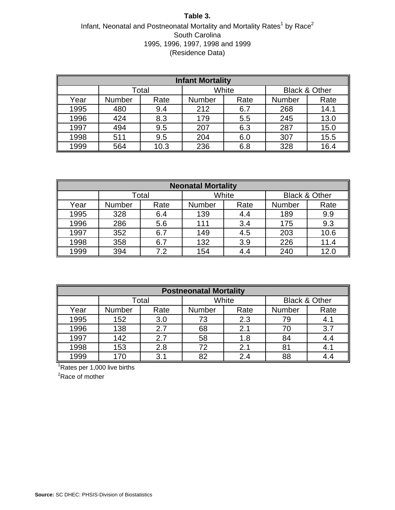#### **Table 3.**

# Infant, Neonatal and Postneonatal Mortality and Mortality Rates<sup>1</sup> by Race<sup>2</sup> South Carolina 1995, 1996, 1997, 1998 and 1999 (Residence Data)

| <b>Infant Mortality</b> |        |       |        |      |                          |      |  |  |  |
|-------------------------|--------|-------|--------|------|--------------------------|------|--|--|--|
|                         |        | Total | White  |      | <b>Black &amp; Other</b> |      |  |  |  |
| Year                    | Number | Rate  | Number | Rate | Number                   | Rate |  |  |  |
| 1995                    | 480    | 9.4   | 212    | 6.7  | 268                      | 14.1 |  |  |  |
| 1996                    | 424    | 8.3   | 179    | 5.5  | 245                      | 13.0 |  |  |  |
| 1997                    | 494    | 9.5   | 207    | 6.3  | 287                      | 15.0 |  |  |  |
| 1998                    | 511    | 9.5   | 204    | 6.0  | 307                      | 15.5 |  |  |  |
| 1999                    | 564    | 10.3  | 236    | 6.8  | 328                      | 16.4 |  |  |  |

| <b>Neonatal Mortality</b> |        |       |               |       |               |                          |  |  |  |
|---------------------------|--------|-------|---------------|-------|---------------|--------------------------|--|--|--|
|                           |        | Total |               | White |               | <b>Black &amp; Other</b> |  |  |  |
| Year                      | Number | Rate  | <b>Number</b> | Rate  | <b>Number</b> | Rate                     |  |  |  |
| 1995                      | 328    | 6.4   | 139           | 4.4   | 189           | 9.9                      |  |  |  |
| 1996                      | 286    | 5.6   | 111           | 3.4   | 175           | 9.3                      |  |  |  |
| 1997                      | 352    | 6.7   | 149           | 4.5   | 203           | 10.6                     |  |  |  |
| 1998                      | 358    | 6.7   | 132           | 3.9   | 226           | 11.4                     |  |  |  |
| 1999                      | 394    | 7.2   | 154           | 4.4   | 240           | 12.0                     |  |  |  |

| <b>Postneonatal Mortality</b> |        |       |        |       |        |                          |  |  |  |
|-------------------------------|--------|-------|--------|-------|--------|--------------------------|--|--|--|
|                               |        | Total |        | White |        | <b>Black &amp; Other</b> |  |  |  |
| Year                          | Number | Rate  | Number | Rate  | Number | Rate                     |  |  |  |
| 1995                          | 152    | 3.0   | 73     | 2.3   | 79     | 4.1                      |  |  |  |
| 1996                          | 138    | 2.7   | 68     | 2.1   | 70     | 3.7                      |  |  |  |
| 1997                          | 142    | 2.7   | 58     | 1.8   | 84     | 4.4                      |  |  |  |
| 1998                          | 153    | 2.8   | 72     | 2.1   | 81     | 4.1                      |  |  |  |
| 1999                          | 170    | 3.1   | 82     | 2.4   | 88     |                          |  |  |  |

<sup>1</sup>Rates per 1,000 live births

<sup>2</sup>Race of mother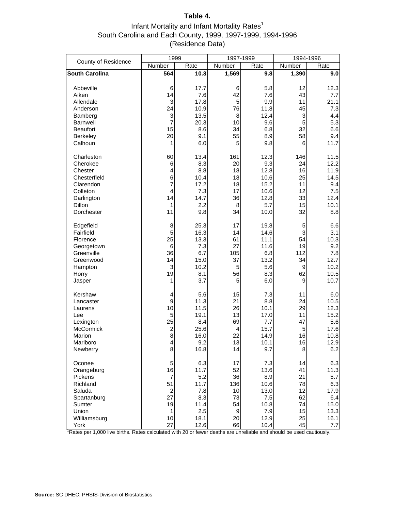## **Table 4.**

# Infant Mortality and Infant Mortality Rates $1$ South Carolina and Each County, 1999, 1997-1999, 1994-1996 (Residence Data)

| County of Residence   | 1999                 |      | 1997-1999 |      | 1994-1996 |        |
|-----------------------|----------------------|------|-----------|------|-----------|--------|
|                       | Number               | Rate | Number    | Rate | Number    | Rate   |
| <b>South Carolina</b> | 564                  | 10.3 | 1,569     | 9.8  | 1,390     | 9.0    |
| Abbeville             | 6                    | 17.7 | 6         | 5.8  | 12        | 12.3   |
| Aiken                 | 14                   | 7.6  | 42        | 7.6  | 43        | 7.7    |
| Allendale             | 3                    | 17.8 | 5         | 9.9  | 11        | 21.1   |
| Anderson              | 24                   | 10.9 | 76        | 11.8 | 45        | 7.3    |
| Bamberg               | 3                    | 13.5 | 8         | 12.4 | 3         | 4.4    |
| <b>Barnwell</b>       | 7                    | 20.3 | 10        | 9.6  | 5         | 5.3    |
| <b>Beaufort</b>       | 15                   | 8.6  | 34        | 6.8  | 32        | 6.6    |
| Berkeley              | 20                   | 9.1  | 55        | 8.9  | 58        | 9.4    |
| Calhoun               | 1                    | 6.0  | 5         | 9.8  | 6         | 11.7   |
| Charleston            | 60                   | 13.4 | 161       | 12.3 | 146       | $11.5$ |
| Cherokee              | 6                    | 8.3  | 20        | 9.3  | 24        | 12.2   |
| Chester               | 4                    | 8.8  | 18        | 12.8 | 16        | 11.9   |
| Chesterfield          | 6                    | 10.4 | 18        | 10.6 | 25        | 14.5   |
| Clarendon             | 7                    | 17.2 | 18        | 15.2 | 11        | 9.4    |
| Colleton              | $\overline{4}$       | 7.3  | 17        | 10.6 | 12        | 7.5    |
| Darlington            | 14                   | 14.7 | 36        | 12.8 | 33        | 12.4   |
| <b>Dillon</b>         | 1                    | 2.2  | 8         | 5.7  | 15        | 10.1   |
| Dorchester            | 11                   | 9.8  | 34        | 10.0 | 32        | 8.8    |
| Edgefield             | 8                    | 25.3 | 17        | 19.8 | 5         | 6.6    |
| Fairfield             | 5                    | 16.3 | 14        | 14.6 | 3         | 3.1    |
| Florence              | 25                   | 13.3 | 61        | 11.1 | 54        | 10.3   |
| Georgetown            | 6                    | 7.3  | 27        | 11.6 | 19        | 9.2    |
| Greenville            | 36                   | 6.7  | 105       | 6.8  | 112       | 7.8    |
| Greenwood             | 14                   | 15.0 | 37        | 13.2 | 34        | 12.7   |
| Hampton               | 3                    | 10.2 | 5         | 5.6  | 9         | 10.2   |
| Horry                 | 19                   | 8.1  | 56        | 8.3  | 62        | 10.5   |
| Jasper                | 1                    | 3.7  | 5         | 6.0  | 9         | 10.7   |
| Kershaw               | 4                    | 5.6  | 15        | 7.3  | 11        | 6.0    |
| Lancaster             | 9                    | 11.3 | 21        | 8.8  | 24        | 10.5   |
| Laurens               | 10                   | 11.5 | 26        | 10.1 | 29        | 12.3   |
| Lee                   | 5                    | 19.1 | 13        | 17.0 | 11        | 15.2   |
| Lexington             | 25                   | 8.4  | 69        | 7.7  | 47        | 5.6    |
| <b>McCormick</b>      | $\overline{c}$<br>8  | 25.6 | 4         | 15.7 | 5         | 17.6   |
| Marion<br>Marlboro    |                      | 16.0 | 22        | 14.9 | 16        | 10.8   |
|                       | 4                    | 9.2  | 13        | 10.1 | 16        | 12.9   |
| Newberry              | 8                    | 16.8 | 14        | 9.7  | 8         | 6.2    |
| Oconee                | 5                    | 6.3  | 17<br>52  | 7.3  | 14        | 6.3    |
| Orangeburg            | 16                   | 11.7 |           | 13.6 | 41        | 11.3   |
| Pickens               | $\overline{7}$       | 5.2  | 36        | 8.9  | 21        | 5.7    |
| Richland              | 51                   | 11.7 | 136       | 10.6 | 78        | 6.3    |
| Saluda                | $\overline{c}$<br>27 | 7.8  | 10        | 13.0 | 12        | 17.9   |
| Spartanburg           |                      | 8.3  | 73        | 7.5  | 62        | 6.4    |
| Sumter                | 19                   | 11.4 | 54        | 10.8 | 74        | 15.0   |
| Union<br>Williamsburg | 1<br>10              | 2.5  | 9<br>20   | 7.9  | 15<br>25  | 13.3   |
|                       | 27                   | 18.1 | 66        | 12.9 | 45        | 16.1   |
| York                  |                      | 12.6 |           | 10.4 |           | 7.7    |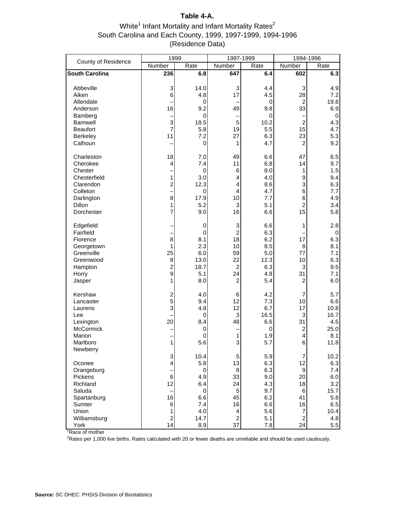# **Table 4-A.**

## White<sup>1</sup> Infant Mortality and Infant Mortality Rates<sup>2</sup> South Carolina and Each County, 1999, 1997-1999, 1994-1996 (Residence Data)

| County of Residence                                                                                                        | 1999                                                      |                                                                         | 1997-1999                                                                             |                                                                           | 1994-1996                                                                           |                                                                              |
|----------------------------------------------------------------------------------------------------------------------------|-----------------------------------------------------------|-------------------------------------------------------------------------|---------------------------------------------------------------------------------------|---------------------------------------------------------------------------|-------------------------------------------------------------------------------------|------------------------------------------------------------------------------|
|                                                                                                                            | Number                                                    | Rate                                                                    | Number                                                                                | Rate                                                                      | Number                                                                              | Rate                                                                         |
| <b>South Carolina</b>                                                                                                      | 236                                                       | 6.8                                                                     | 647                                                                                   | 6.4                                                                       | 602                                                                                 | 6.3                                                                          |
| Abbeville<br>Aiken<br>Allendale<br>Anderson<br>Bamberg<br><b>Barnwell</b><br><b>Beaufort</b><br><b>Berkeley</b><br>Calhoun | 3<br>6<br>16<br>3<br>$\overline{7}$<br>11                 | 14.0<br>4.8<br>0<br>9.2<br>0<br>18.5<br>5.8<br>7.2<br>0                 | 3<br>17<br>49<br>5<br>19<br>27<br>1                                                   | 4.4<br>4.5<br>0<br>9.8<br>0<br>10.2<br>5.5<br>6.3<br>4.7                  | 3<br>28<br>$\overline{c}$<br>33<br>$\overline{c}$<br>15<br>23<br>$\overline{2}$     | 4.9<br>7.2<br>19.8<br>6.9<br>0<br>4.3<br>4.7<br>5.3<br>9.2                   |
| Charleston<br>Cherokee<br>Chester<br>Chesterfield<br>Clarendon<br>Colleton<br>Darlington<br><b>Dillon</b><br>Dorchester    | 18<br>4<br>1<br>$\overline{\mathbf{c}}$<br>8<br>1<br>7    | 7.0<br>7.4<br>0<br>3.0<br>12.3<br>0<br>17.9<br>5.2<br>9.0               | 49<br>11<br>6<br>4<br>4<br>4<br>10<br>3<br>16                                         | 6.6<br>6.8<br>8.0<br>4.0<br>8.6<br>4.7<br>7.7<br>5.1<br>6.6               | 47<br>14<br>1<br>9<br>3<br>6<br>6<br>$\overline{c}$<br>15                           | 6.5<br>9.7<br>1.5<br>9.4<br>6.3<br>7.7<br>4.9<br>3.4<br>5.8                  |
| Edgefield<br>Fairfield<br>Florence<br>Georgetown<br>Greenville<br>Greenwood<br>Hampton<br>Horry<br>Jasper                  | 8<br>1<br>25<br>8<br>$\overline{\mathbf{c}}$<br>9<br>1    | 0<br>0<br>8.1<br>2.3<br>6.0<br>13.0<br>18.7<br>5.1<br>8.0               | 3<br>$\overline{c}$<br>18<br>10<br>59<br>22<br>$\overline{c}$<br>24<br>$\overline{c}$ | 6.6<br>6.3<br>6.2<br>8.5<br>5.0<br>12.3<br>6.3<br>4.8<br>5.4              | 1<br>17<br>8<br>77<br>10<br>3<br>31<br>$\overline{c}$                               | 2.8<br>0<br>6.3<br>8.1<br>7.1<br>6.3<br>9.5<br>7.1<br>6.0                    |
| Kershaw<br>Lancaster<br>Laurens<br>Lee<br>Lexington<br>McCormick<br>Marion<br>Marlboro<br>Newberry                         | $\overline{\mathbf{c}}$<br>5<br>3<br>20<br>1              | 4.0<br>9.4<br>4.8<br>0<br>8.4<br>0<br>0<br>5.6                          | 6<br>12<br>12<br>3<br>48<br>1<br>3                                                    | 4.2<br>7.3<br>6.7<br>16.5<br>6.6<br>0<br>1.9<br>5.7                       | 7<br>10<br>17<br>3<br>31<br>$\overline{\mathbf{c}}$<br>$\overline{\mathbf{4}}$<br>6 | 5.7<br>6.6<br>10.8<br>16.7<br>4.5<br>25.0<br>8.1<br>11.8                     |
| Oconee<br>Orangeburg<br>Pickens<br>Richland<br>Saluda<br>Spartanburg<br>Sumter<br>Union<br>Williamsburg<br>York            | 3<br>4<br>6<br>12<br>16<br>6<br>1<br>$\overline{c}$<br>14 | 10.4<br>5.8<br>0<br>4.9<br>6.4<br>0<br>6.6<br>7.4<br>4.0<br>14.7<br>8.9 | 5<br>13<br>$\, 8$<br>33<br>24<br>5<br>45<br>16<br>4<br>$\overline{c}$<br>37           | 5.9<br>6.3<br>6.3<br>9.0<br>4.3<br>9.7<br>6.2<br>6.6<br>5.6<br>5.1<br>7.8 | 7<br>12<br>9<br>20<br>18<br>6<br>41<br>16<br>7<br>$\overline{c}$<br>24              | 10.2<br>6.3<br>7.4<br>6.0<br>3.2<br>15.7<br>5.8<br>6.5<br>10.4<br>4.8<br>5.5 |

<sup>1</sup>Race of mother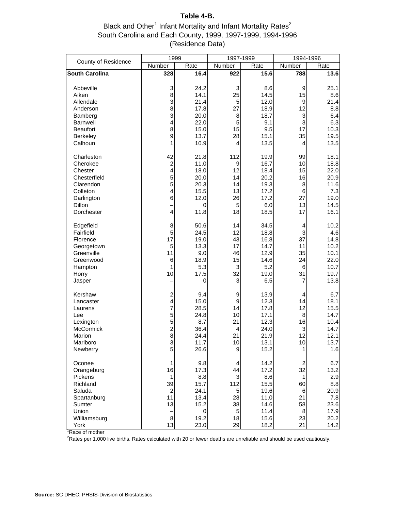# **Table 4-B.**

#### Black and Other<sup>1</sup> Infant Mortality and Infant Mortality Rates<sup>2</sup> South Carolina and Each County, 1999, 1997-1999, 1994-1996 (Residence Data)

| County of Residence                                                                                                     | 1999                                                                                                            |                                                                         | 1997-1999                                             |                                                                             | 1994-1996                                                         |                                                                          |
|-------------------------------------------------------------------------------------------------------------------------|-----------------------------------------------------------------------------------------------------------------|-------------------------------------------------------------------------|-------------------------------------------------------|-----------------------------------------------------------------------------|-------------------------------------------------------------------|--------------------------------------------------------------------------|
|                                                                                                                         | Number                                                                                                          | Rate                                                                    | Number                                                | Rate                                                                        | Number                                                            | Rate                                                                     |
| <b>South Carolina</b>                                                                                                   | 328                                                                                                             | 16.4                                                                    | 922                                                   | 15.6                                                                        | 788                                                               | 13.6                                                                     |
| Abbeville<br>Aiken<br>Allendale<br>Anderson<br>Bamberg<br><b>Barnwell</b><br><b>Beaufort</b><br>Berkeley<br>Calhoun     | 3<br>8<br>3<br>8<br>3<br>4<br>8<br>9<br>1                                                                       | 24.2<br>14.1<br>21.4<br>17.8<br>20.0<br>22.0<br>15.0<br>13.7<br>10.9    | 3<br>25<br>5<br>27<br>8<br>5<br>15<br>28<br>4         | 8.6<br>14.5<br>12.0<br>18.9<br>18.7<br>9.1<br>9.5<br>15.1<br>13.5           | 9<br>15<br>9<br>12<br>3<br>3<br>17<br>35<br>4                     | 25.1<br>8.6<br>21.4<br>8.8<br>6.4<br>6.3<br>10.3<br>19.5<br>13.5         |
| Charleston<br>Cherokee<br>Chester<br>Chesterfield<br>Clarendon<br>Colleton<br>Darlington<br><b>Dillon</b><br>Dorchester | 42<br>$\overline{\mathbf{c}}$<br>4<br>5<br>5<br>4<br>6<br>$\overline{\mathbf{4}}$                               | 21.8<br>11.0<br>18.0<br>20.0<br>20.3<br>15.5<br>12.0<br>0<br>11.8       | 112<br>9<br>12<br>14<br>14<br>13<br>26<br>5<br>18     | 19.9<br>16.7<br>18.4<br>20.2<br>19.3<br>17.2<br>17.2<br>6.0<br>18.5         | 99<br>10<br>15<br>16<br>8<br>6<br>27<br>13<br>17                  | 18.1<br>18.8<br>22.0<br>20.9<br>11.6<br>7.3<br>19.0<br>14.5<br>16.1      |
| Edgefield<br>Fairfield<br>Florence<br>Georgetown<br>Greenville<br>Greenwood<br>Hampton<br>Horry<br>Jasper               | 8<br>5<br>17<br>5<br>11<br>6<br>1<br>10                                                                         | 50.6<br>24.5<br>19.0<br>13.3<br>9.0<br>18.9<br>5.3<br>17.5<br>0         | 14<br>12<br>43<br>17<br>46<br>15<br>3<br>32<br>3      | 34.5<br>18.8<br>16.8<br>14.7<br>12.9<br>14.6<br>5.2<br>19.0<br>6.5          | 4<br>3<br>37<br>11<br>35<br>24<br>6<br>31<br>7                    | 10.2<br>4.6<br>14.8<br>10.2<br>10.1<br>22.0<br>10.7<br>19.7<br>13.8      |
| Kershaw<br>Lancaster<br>Laurens<br>Lee<br>Lexington<br><b>McCormick</b><br>Marion<br>Marlboro<br>Newberry               | $\overline{\mathbf{c}}$<br>$\overline{\mathbf{4}}$<br>$\overline{7}$<br>5<br>5<br>$\overline{c}$<br>8<br>3<br>5 | 9.4<br>15.0<br>28.5<br>24.8<br>8.7<br>36.4<br>24.4<br>11.7<br>26.6      | 9<br>9<br>14<br>10<br>21<br>4<br>21<br>10<br>9        | 13.9<br>12.3<br>17.8<br>17.1<br>12.3<br>24.0<br>21.9<br>13.1<br>15.2        | 4<br>14<br>12<br>8<br>16<br>3<br>12<br>$10$<br>1                  | 6.7<br>18.1<br>15.5<br>14.7<br>10.4<br>14.7<br>12.1<br>13.7<br>1.6       |
| Oconee<br>Orangeburg<br>Pickens<br>Richland<br>Saluda<br>Spartanburg<br>Sumter<br>Union<br>Williamsburg<br>York         | 1<br>16<br>1<br>39<br>$\overline{c}$<br>11<br>13<br>8<br>13                                                     | 9.8<br>17.3<br>8.8<br>15.7<br>24.1<br>13.4<br>15.2<br>0<br>19.2<br>23.0 | 4<br>44<br>3<br>112<br>5<br>28<br>38<br>5<br>18<br>29 | 14.2<br>17.2<br>8.6<br>15.5<br>19.6<br>11.0<br>14.6<br>11.4<br>15.6<br>18.2 | $\overline{c}$<br>32<br>1<br>60<br>6<br>21<br>58<br>8<br>23<br>21 | 6.7<br>13.2<br>2.9<br>8.8<br>20.9<br>7.8<br>23.6<br>17.9<br>20.2<br>14.2 |

Race of mother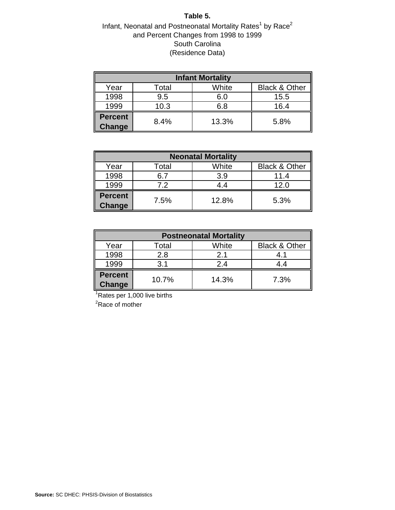#### **Table 5.**

# Infant, Neonatal and Postneonatal Mortality Rates<sup>1</sup> by Race<sup>2</sup> and Percent Changes from 1998 to 1999 South Carolina (Residence Data)

| <b>Infant Mortality</b>  |       |       |                          |  |  |  |  |  |
|--------------------------|-------|-------|--------------------------|--|--|--|--|--|
| Year                     | Total | White | <b>Black &amp; Other</b> |  |  |  |  |  |
| 1998                     | 9.5   | 6.0   | 15.5                     |  |  |  |  |  |
| 1999                     | 10.3  | 6.8   | 16.4                     |  |  |  |  |  |
| <b>Percent</b><br>Change | 8.4%  | 13.3% | 5.8%                     |  |  |  |  |  |

| <b>Neonatal Mortality</b> |       |       |                          |  |  |  |  |  |
|---------------------------|-------|-------|--------------------------|--|--|--|--|--|
| Year                      | Total | White | <b>Black &amp; Other</b> |  |  |  |  |  |
| 1998                      | 6.7   | 3.9   | 11.4                     |  |  |  |  |  |
| 1999                      | 7.2   | 4.4   | 12.0                     |  |  |  |  |  |
| <b>Percent</b><br>Change  | 7.5%  | 12.8% | 5.3%                     |  |  |  |  |  |

| <b>Postneonatal Mortality</b> |       |       |                          |  |  |  |  |  |
|-------------------------------|-------|-------|--------------------------|--|--|--|--|--|
| Year                          | Total | White | <b>Black &amp; Other</b> |  |  |  |  |  |
| 1998                          | 2.8   | 2.1   | 4.1                      |  |  |  |  |  |
| 1999                          | 3.1   | 2.4   | 4.4                      |  |  |  |  |  |
| <b>Percent</b><br>Change      | 10.7% | 14.3% | 7.3%                     |  |  |  |  |  |

<sup>1</sup>Rates per 1,000 live births

<sup>2</sup>Race of mother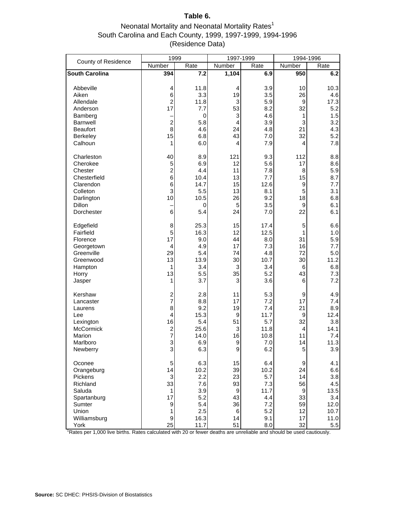# **Table 6.**

# Neonatal Mortality and Neonatal Mortality Rates $1$ South Carolina and Each County, 1999, 1997-1999, 1994-1996 (Residence Data)

|                                                                                                                         | 1999                                                                                      |                                                                       | 1997-1999                                                             |                                                                      | 1994-1996                                              |                                                                        |
|-------------------------------------------------------------------------------------------------------------------------|-------------------------------------------------------------------------------------------|-----------------------------------------------------------------------|-----------------------------------------------------------------------|----------------------------------------------------------------------|--------------------------------------------------------|------------------------------------------------------------------------|
| County of Residence                                                                                                     | Number                                                                                    | Rate                                                                  | <b>Number</b>                                                         | Rate                                                                 | Number                                                 | Rate                                                                   |
| <b>South Carolina</b>                                                                                                   | 394                                                                                       | 7.2                                                                   | 1,104                                                                 | 6.9                                                                  | 950                                                    | 6.2                                                                    |
| Abbeville<br>Aiken<br>Allendale<br>Anderson<br>Bamberg<br><b>Barnwell</b><br><b>Beaufort</b><br>Berkeley<br>Calhoun     | 4<br>6<br>$\overline{c}$<br>17<br>$\overline{c}$<br>8<br>15<br>1                          | 11.8<br>3.3<br>11.8<br>7.7<br>0<br>5.8<br>4.6<br>6.8<br>6.0           | 4<br>19<br>3<br>53<br>3<br>$\overline{4}$<br>24<br>43<br>4            | 3.9<br>3.5<br>5.9<br>8.2<br>4.6<br>3.9<br>4.8<br>7.0<br>7.9          | 10<br>26<br>9<br>32<br>1<br>3<br>21<br>32<br>4         | 10.3<br>4.6<br>17.3<br>5.2<br>1.5<br>3.2<br>4.3<br>5.2<br>7.8          |
| Charleston<br>Cherokee<br>Chester<br>Chesterfield<br>Clarendon<br>Colleton<br>Darlington<br><b>Dillon</b><br>Dorchester | 40<br>5<br>$\overline{\mathbf{c}}$<br>6<br>6<br>3<br>10<br>6                              | 8.9<br>6.9<br>4.4<br>10.4<br>14.7<br>5.5<br>10.5<br>0<br>5.4          | 121<br>12<br>11<br>13<br>15<br>13<br>26<br>5<br>24                    | 9.3<br>5.6<br>7.8<br>7.7<br>12.6<br>8.1<br>9.2<br>3.5<br>7.0         | 112<br>17<br>8<br>15<br>9<br>5<br>18<br>9<br>22        | 8.8<br>8.6<br>5.9<br>8.7<br>7.7<br>3.1<br>6.8<br>6.1<br>6.1            |
| Edgefield<br>Fairfield<br>Florence<br>Georgetown<br>Greenville<br>Greenwood<br>Hampton<br>Horry<br>Jasper               | 8<br>5<br>17<br>4<br>29<br>13<br>1<br>13<br>1                                             | 25.3<br>16.3<br>9.0<br>4.9<br>5.4<br>13.9<br>3.4<br>5.5<br>3.7        | 15<br>12<br>44<br>17<br>74<br>30<br>3<br>35<br>3                      | 17.4<br>12.5<br>8.0<br>7.3<br>4.8<br>10.7<br>3.4<br>5.2<br>3.6       | 5<br>1<br>31<br>16<br>72<br>30<br>6<br>43<br>6         | 6.6<br>1.0<br>5.9<br>7.7<br>5.0<br>11.2<br>6.8<br>7.3<br>7.2           |
| Kershaw<br>Lancaster<br>Laurens<br>Lee<br>Lexington<br>McCormick<br>Marion<br>Marlboro<br>Newberry                      | $\frac{2}{7}$<br>8<br>4<br>16<br>$\frac{2}{7}$<br>3<br>3                                  | 2.8<br>8.8<br>9.2<br>15.3<br>5.4<br>25.6<br>14.0<br>6.9<br>6.3        | 11<br>17<br>19<br>9<br>51<br>3<br>16<br>9<br>9                        | 5.3<br>7.2<br>7.4<br>11.7<br>5.7<br>11.8<br>10.8<br>$7.0$<br>6.2     | 9<br>17<br>21<br>9<br>32<br>4<br>11<br>14<br>5         | 4.9<br>7.4<br>8.9<br>12.4<br>3.8<br>14.1<br>7.4<br>11.3<br>3.9         |
| Oconee<br>Orangeburg<br>Pickens<br>Richland<br>Saluda<br>Spartanburg<br>Sumter<br>Union<br>Williamsburg<br>York         | 5<br>14<br>$\ensuremath{\mathsf{3}}$<br>33<br>1<br>17<br>$\boldsymbol{9}$<br>1<br>9<br>25 | 6.3<br>10.2<br>2.2<br>7.6<br>3.9<br>5.2<br>5.4<br>2.5<br>16.3<br>11.7 | 15<br>39<br>23<br>93<br>$\boldsymbol{9}$<br>43<br>36<br>6<br>14<br>51 | 6.4<br>10.2<br>5.7<br>7.3<br>11.7<br>4.4<br>7.2<br>5.2<br>9.1<br>8.0 | 9<br>24<br>14<br>56<br>9<br>33<br>59<br>12<br>17<br>32 | 4.1<br>6.6<br>3.8<br>4.5<br>13.5<br>3.4<br>12.0<br>10.7<br>11.0<br>5.5 |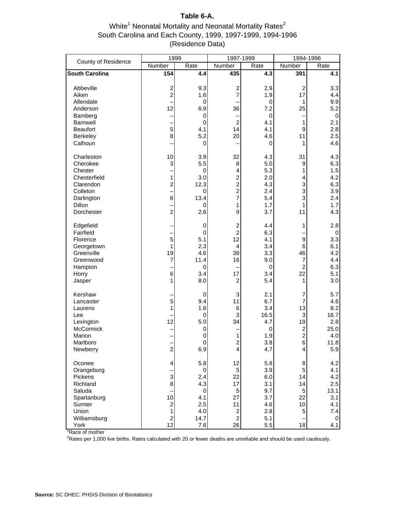# **Table 6-A.**

## White<sup>1</sup> Neonatal Mortality and Neonatal Mortality Rates<sup>2</sup> South Carolina and Each County, 1999, 1997-1999, 1994-1996 (Residence Data)

| County of Residence                                                                                              | 1999                                                                      |                                                                         | 1997-1999                                                                                                 |                                                                    | 1994-1996                                                                      |                                                                   |
|------------------------------------------------------------------------------------------------------------------|---------------------------------------------------------------------------|-------------------------------------------------------------------------|-----------------------------------------------------------------------------------------------------------|--------------------------------------------------------------------|--------------------------------------------------------------------------------|-------------------------------------------------------------------|
|                                                                                                                  | Number                                                                    | Rate                                                                    | Number                                                                                                    | Rate                                                               | Number                                                                         | Rate                                                              |
| <b>South Carolina</b>                                                                                            | 154                                                                       | 4.4                                                                     | 435                                                                                                       | 4.3                                                                | 391                                                                            | 4.1                                                               |
| Abbeville<br>Aiken<br>Allendale<br>Anderson<br>Bamberg<br>Barnwell<br><b>Beaufort</b><br>Berkeley<br>Calhoun     | $\overline{\mathbf{c}}$<br>$\overline{a}$<br>12<br>5<br>8                 | 9.3<br>1.6<br>0<br>6.9<br>$\mathbf 0$<br>$\mathbf 0$<br>4.1<br>5.2<br>0 | $\overline{\mathbf{c}}$<br>7<br>36<br>$\overline{c}$<br>14<br>20                                          | 2.9<br>1.9<br>0<br>7.2<br>0<br>4.1<br>4.1<br>4.6<br>0              | $\overline{c}$<br>17<br>1<br>25<br>1<br>$\boldsymbol{9}$<br>11<br>1            | 3.3<br>4.4<br>9.9<br>5.2<br>0<br>2.1<br>2.8<br>2.5<br>4.6         |
| Charleston<br>Cherokee<br>Chester<br>Chesterfield<br>Clarendon<br>Colleton<br>Darlington<br>Dillon<br>Dorchester | 10<br>3<br>$\mathbf{1}$<br>$\overline{\mathbf{c}}$<br>6<br>$\overline{2}$ | 3.9<br>5.5<br>0<br>3.0<br>12.3<br>0<br>13.4<br>0<br>2.6                 | 32<br>8<br>4<br>$\overline{c}$<br>$\overline{c}$<br>$\overline{\mathbf{c}}$<br>7<br>1<br>9                | 4.3<br>5.0<br>5.3<br>2.0<br>4.3<br>2.4<br>5.4<br>1.7<br>3.7        | 31<br>9<br>1<br>4<br>3<br>3<br>3<br>1<br>11                                    | 4.3<br>6.3<br>1.5<br>4.2<br>6.3<br>3.9<br>2.4<br>1.7<br>4.3       |
| Edgefield<br>Fairfield<br>Florence<br>Georgetown<br>Greenville<br>Greenwood<br>Hampton<br>Horry<br>Jasper        | 5<br>1<br>19<br>$\overline{7}$<br>6<br>1                                  | 0<br>0<br>5.1<br>2.3<br>4.6<br>11.4<br>0<br>3.4<br>8.0                  | $\overline{\mathbf{c}}$<br>$\overline{c}$<br>12<br>4<br>39<br>16<br>17<br>2                               | 4.4<br>6.3<br>4.1<br>3.4<br>3.3<br>9.0<br>0<br>3.4<br>5.4          | 1<br>9<br>6<br>46<br>$\overline{7}$<br>$\overline{c}$<br>22<br>1               | 2.8<br>0<br>3.3<br>6.1<br>4.2<br>4.4<br>6.3<br>5.1<br>3.0         |
| Kershaw<br>Lancaster<br>Laurens<br>Lee<br>Lexington<br>McCormick<br>Marion<br>Marlboro<br>Newberry               | 5<br>1<br>12<br>$\overline{\mathbf{c}}$                                   | $\mathbf 0$<br>9.4<br>1.6<br>0<br>5.0<br>0<br>0<br>0<br>6.9             | 3<br>11<br>6<br>3<br>34<br>1<br>$\overline{\mathbf{c}}$<br>4                                              | 2.1<br>6.7<br>3.4<br>16.5<br>4.7<br>0<br>1.9<br>3.8<br>4.7         | 7<br>7<br>13<br>3<br>19<br>$\overline{\mathbf{c}}$<br>$\overline{c}$<br>6<br>4 | 5.7<br>4.6<br>8.2<br>16.7<br>2.8<br>25.0<br>4.0<br>11.8<br>5.9    |
| Oconee<br>Orangeburg<br>Pickens<br>Richland<br>Saluda<br>Spartanburg<br>Sumter<br>Union<br>Williamsburg<br>York  | 4<br>3<br>8<br>10<br>$\overline{\mathbf{c}}$<br>1<br>$\overline{a}$<br>12 | 5.8<br>0<br>2.4<br>4.3<br>$\pmb{0}$<br>4.1<br>2.5<br>4.0<br>14.7<br>7.6 | 12<br>$\sqrt{5}$<br>22<br>17<br>5<br>27<br>11<br>$\overline{\mathbf{c}}$<br>$\overline{\mathbf{c}}$<br>26 | 5.8<br>3.9<br>6.0<br>3.1<br>9.7<br>3.7<br>4.6<br>2.8<br>5.1<br>5.5 | 8<br>5<br>14<br>14<br>5<br>22<br>10<br>5<br>18                                 | 4.2<br>4.1<br>4.2<br>2.5<br>13.1<br>3.1<br>4.1<br>7.4<br>0<br>4.1 |

<sup>1</sup>Race of mother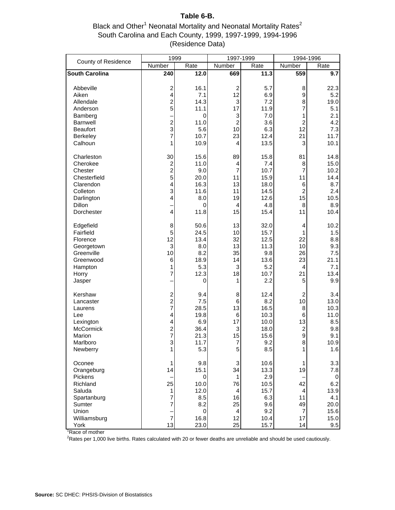#### **Table 6-B.**

Black and Other<sup>1</sup> Neonatal Mortality and Neonatal Mortality Rates<sup>2</sup> South Carolina and Each County, 1999, 1997-1999, 1994-1996 (Residence Data)

| County of Residence                                                                                                     | 1999                                                                                                            |                                                                  | 1997-1999                                                    |                                                                    | 1994-1996                                                                      |                                                                   |
|-------------------------------------------------------------------------------------------------------------------------|-----------------------------------------------------------------------------------------------------------------|------------------------------------------------------------------|--------------------------------------------------------------|--------------------------------------------------------------------|--------------------------------------------------------------------------------|-------------------------------------------------------------------|
|                                                                                                                         | Number                                                                                                          | Rate                                                             | Number                                                       | Rate                                                               | Number                                                                         | Rate                                                              |
| <b>South Carolina</b>                                                                                                   | 240                                                                                                             | 12.0                                                             | 669                                                          | 11.3                                                               | 559                                                                            | 9.7                                                               |
| Abbeville<br>Aiken<br>Allendale                                                                                         | $\overline{\mathbf{c}}$<br>4<br>$\overline{c}$                                                                  | 16.1<br>7.1<br>14.3                                              | 2<br>12<br>3                                                 | 5.7<br>6.9<br>7.2                                                  | 8<br>9<br>8                                                                    | 22.3<br>5.2<br>19.0                                               |
| Anderson<br>Bamberg<br><b>Barnwell</b>                                                                                  | 5<br>$\overline{c}$                                                                                             | 11.1<br>0<br>11.0                                                | 17<br>3<br>$\overline{c}$                                    | 11.9<br>7.0<br>3.6                                                 | $\overline{7}$<br>1<br>$\overline{c}$                                          | 5.1<br>2.1<br>4.2                                                 |
| <b>Beaufort</b><br><b>Berkeley</b><br>Calhoun                                                                           | 3<br>7<br>1                                                                                                     | 5.6<br>10.7<br>10.9                                              | 10<br>23<br>4                                                | 6.3<br>12.4<br>13.5                                                | 12<br>21<br>3                                                                  | 7.3<br>11.7<br>10.1                                               |
| Charleston<br>Cherokee<br>Chester<br>Chesterfield<br>Clarendon<br>Colleton<br>Darlington<br><b>Dillon</b><br>Dorchester | 30<br>$\frac{2}{2}$<br>5<br>4<br>3<br>4<br>$\overline{\mathbf{4}}$                                              | 15.6<br>11.0<br>9.0<br>20.0<br>16.3<br>11.6<br>8.0<br>0<br>11.8  | 89<br>4<br>$\overline{7}$<br>11<br>13<br>11<br>19<br>4<br>15 | 15.8<br>7.4<br>10.7<br>15.9<br>18.0<br>14.5<br>12.6<br>4.8<br>15.4 | 81<br>8<br>$\overline{7}$<br>11<br>6<br>$\overline{c}$<br>15<br>8<br>11        | 14.8<br>15.0<br>10.2<br>14.4<br>8.7<br>2.4<br>10.5<br>8.9<br>10.4 |
| Edgefield<br>Fairfield<br>Florence<br>Georgetown<br>Greenville<br>Greenwood<br>Hampton<br>Horry<br>Jasper               | 8<br>5<br>12<br>3<br>10<br>6<br>1<br>7                                                                          | 50.6<br>24.5<br>13.4<br>8.0<br>8.2<br>18.9<br>5.3<br>12.3<br>0   | 13<br>10<br>32<br>13<br>35<br>14<br>3<br>18<br>1             | 32.0<br>15.7<br>12.5<br>11.3<br>9.8<br>13.6<br>5.2<br>10.7<br>2.2  | 4<br>1<br>22<br>10<br>26<br>23<br>4<br>21<br>5                                 | 10.2<br>1.5<br>8.8<br>9.3<br>7.5<br>21.1<br>7.1<br>13.4<br>9.9    |
| Kershaw<br>Lancaster<br>Laurens<br>Lee<br>Lexington<br>McCormick<br>Marion<br>Marlboro<br>Newberry                      | $\overline{\mathbf{c}}$<br>$\overline{a}$<br>7<br>4<br>4<br>$\overline{\mathbf{c}}$<br>$\overline{7}$<br>3<br>1 | 9.4<br>7.5<br>28.5<br>19.8<br>6.9<br>36.4<br>21.3<br>11.7<br>5.3 | 8<br>6<br>13<br>6<br>17<br>3<br>15<br>7<br>5                 | 12.4<br>8.2<br>16.5<br>10.3<br>10.0<br>18.0<br>15.6<br>9.2<br>8.5  | $\overline{\mathbf{c}}$<br>10<br>8<br>6<br>13<br>$\overline{c}$<br>9<br>8<br>1 | 3.4<br>13.0<br>10.3<br>11.0<br>8.5<br>9.8<br>9.1<br>10.9<br>1.6   |
| Oconee<br>Orangeburg<br>Pickens<br>Richland<br>Saluda<br>Spartanburg<br>Sumter<br>Union                                 | 1<br>14<br>25<br>1<br>$\overline{7}$<br>7                                                                       | 9.8<br>15.1<br>0<br>10.0<br>12.0<br>8.5<br>8.2<br>0              | 3<br>34<br>1<br>76<br>4<br>16<br>25<br>4                     | 10.6<br>13.3<br>2.9<br>10.5<br>15.7<br>6.3<br>9.6<br>9.2           | 1<br>19<br>42<br>4<br>11<br>49<br>$\overline{7}$                               | 3.3<br>7.8<br>0<br>6.2<br>13.9<br>4.1<br>20.0<br>15.6             |
| Williamsburg<br>York                                                                                                    | $\frac{1}{7}$<br>13                                                                                             | 16.8<br>23.0                                                     | 12<br>25                                                     | 10.4<br>15.7                                                       | 17<br>14                                                                       | 15.0<br>9.5                                                       |

<sup>1</sup>Race of mother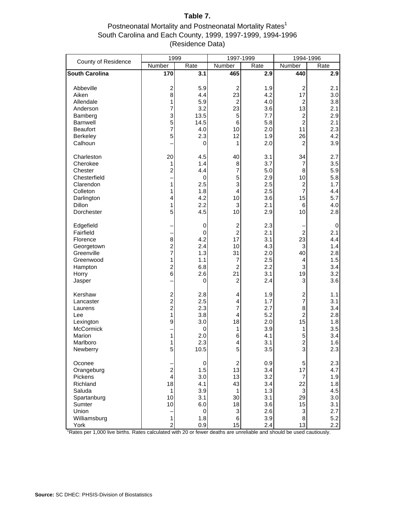## **Table 7.**

## Postneonatal Mortality and Postneonatal Mortality Rates<sup>1</sup> South Carolina and Each County, 1999, 1997-1999, 1994-1996 (Residence Data)

| County of Residence                                                                                                     | 1999                                                                                    |                                                                     | 1997-1999                                                                                         |                                                                    | 1994-1996                                                                                                    |                                                                     |
|-------------------------------------------------------------------------------------------------------------------------|-----------------------------------------------------------------------------------------|---------------------------------------------------------------------|---------------------------------------------------------------------------------------------------|--------------------------------------------------------------------|--------------------------------------------------------------------------------------------------------------|---------------------------------------------------------------------|
|                                                                                                                         | Number                                                                                  | Rate                                                                | Number                                                                                            | Rate                                                               | Number                                                                                                       | Rate                                                                |
| <b>South Carolina</b>                                                                                                   | 170                                                                                     | 3.1                                                                 | 465                                                                                               | 2.9                                                                | 440                                                                                                          | 2.9                                                                 |
| Abbeville<br>Aiken<br>Allendale<br>Anderson<br>Bamberg<br>Barnwell<br><b>Beaufort</b><br>Berkeley<br>Calhoun            | $\overline{c}$<br>8<br>1<br>7<br>3<br>5<br>7<br>5                                       | 5.9<br>4.4<br>5.9<br>3.2<br>13.5<br>14.5<br>4.0<br>2.3<br>0         | $\overline{c}$<br>23<br>$\overline{c}$<br>23<br>5<br>$\,6$<br>10<br>12<br>1                       | 1.9<br>4.2<br>4.0<br>3.6<br>7.7<br>5.8<br>2.0<br>1.9<br>2.0        | $\overline{c}$<br>17<br>$\boldsymbol{2}$<br>13<br>$\overline{\mathbf{c}}$<br>$\overline{c}$<br>11<br>26<br>2 | 2.1<br>3.0<br>3.8<br>2.1<br>2.9<br>2.1<br>2.3<br>4.2<br>3.9         |
| Charleston<br>Cherokee<br>Chester<br>Chesterfield<br>Clarendon<br>Colleton<br>Darlington<br><b>Dillon</b><br>Dorchester | 20<br>1<br>$\overline{c}$<br>1<br>1<br>4<br>1<br>5                                      | 4.5<br>1.4<br>4.4<br>$\mathbf 0$<br>2.5<br>1.8<br>4.2<br>2.2<br>4.5 | 40<br>8<br>7<br>5<br>3<br>$\overline{\mathbf{4}}$<br>10<br>3<br>10                                | 3.1<br>3.7<br>5.0<br>2.9<br>2.5<br>2.5<br>3.6<br>2.1<br>2.9        | 34<br>7<br>8<br>10<br>$\boldsymbol{2}$<br>$\overline{7}$<br>15<br>6<br>10                                    | 2.7<br>3.5<br>5.9<br>5.8<br>1.7<br>4.4<br>5.7<br>4.0<br>2.8         |
| Edgefield<br>Fairfield<br>Florence<br>Georgetown<br>Greenville<br>Greenwood<br>Hampton<br>Horry<br>Jasper               | 8<br>$\frac{2}{7}$<br>1<br>$\overline{c}$<br>6                                          | $\mathbf 0$<br>0<br>4.2<br>2.4<br>1.3<br>1.1<br>6.8<br>2.6<br>0     | $\overline{c}$<br>$\overline{c}$<br>17<br>10<br>31<br>7<br>$\overline{c}$<br>21<br>$\overline{c}$ | 2.3<br>2.1<br>3.1<br>4.3<br>2.0<br>2.5<br>2.2<br>3.1<br>2.4        | $\overline{c}$<br>23<br>$\ensuremath{\mathsf{3}}$<br>40<br>4<br>3<br>19<br>3                                 | $\mathbf 0$<br>2.1<br>4.4<br>1.4<br>2.8<br>1.5<br>3.4<br>3.2<br>3.6 |
| Kershaw<br>Lancaster<br>Laurens<br>Lee<br>Lexington<br><b>McCormick</b><br>Marion<br>Marlboro<br>Newberry               | $\begin{array}{c} 2 \\ 2 \\ 2 \end{array}$<br>1<br>9<br>1<br>5                          | 2.8<br>2.5<br>2.3<br>3.8<br>3.0<br>0<br>2.0<br>2.3<br>10.5          | 4<br>4<br>7<br>4<br>18<br>1<br>6<br>4<br>5                                                        | 1.9<br>1.7<br>2.7<br>5.2<br>2.0<br>3.9<br>4.1<br>3.1<br>3.5        | $\frac{2}{7}$<br>8<br>$\overline{c}$<br>15<br>1<br>5<br>$\overline{\mathbf{c}}$<br>3                         | 1.1<br>3.1<br>3.4<br>2.8<br>1.8<br>3.5<br>3.4<br>1.6<br>2.3         |
| Oconee<br>Orangeburg<br>Pickens<br>Richland<br>Saluda<br>Spartanburg<br>Sumter<br>Union<br>Williamsburg<br>York         | $\overline{c}$<br>$\overline{\mathbf{4}}$<br>18<br>1<br>10<br>10<br>1<br>$\overline{2}$ | 0<br>1.5<br>3.0<br>4.1<br>3.9<br>3.1<br>6.0<br>0<br>1.8<br>0.9      | $\boldsymbol{2}$<br>13<br>13<br>43<br>1<br>30<br>18<br>$\ensuremath{\mathsf{3}}$<br>$\,6$<br>15   | 0.9<br>3.4<br>3.2<br>3.4<br>1.3<br>3.1<br>3.6<br>2.6<br>3.9<br>2.4 | 5<br>17<br>$\overline{7}$<br>22<br>$\mathbf{3}$<br>29<br>15<br>3<br>8<br>13                                  | 2.3<br>4.7<br>1.9<br>1.8<br>4.5<br>3.0<br>3.1<br>2.7<br>5.2<br>2.2  |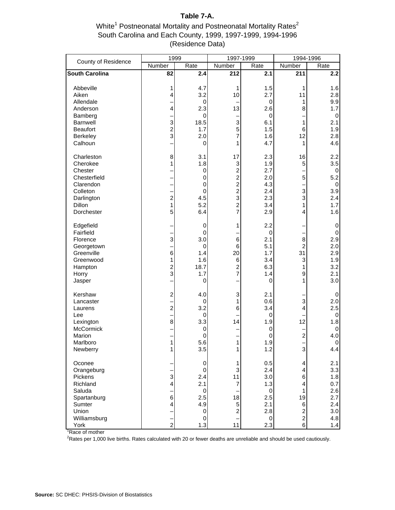## **Table 7-A.**

### White<sup>1</sup> Postneonatal Mortality and Postneonatal Mortality Rates<sup>2</sup> South Carolina and Each County, 1999, 1997-1999, 1994-1996 (Residence Data)

| County of Residence                                                                                              | 1999                                                |                                                                                  | 1997-1999                                                                                                              |                                                                             | 1994-1996                                                                                                |                                                                    |
|------------------------------------------------------------------------------------------------------------------|-----------------------------------------------------|----------------------------------------------------------------------------------|------------------------------------------------------------------------------------------------------------------------|-----------------------------------------------------------------------------|----------------------------------------------------------------------------------------------------------|--------------------------------------------------------------------|
|                                                                                                                  | Number                                              | Rate                                                                             | Number                                                                                                                 | Rate                                                                        | Number                                                                                                   | Rate                                                               |
| <b>South Carolina</b>                                                                                            | 82                                                  | 2.4                                                                              | 212                                                                                                                    | 2.1                                                                         | 211                                                                                                      | 2.2                                                                |
| Abbeville<br>Aiken<br>Allendale<br>Anderson<br>Bamberg<br>Barnwell<br><b>Beaufort</b><br>Berkeley<br>Calhoun     | 1<br>4<br>$\overline{4}$<br>3<br>$\frac{2}{3}$      | 4.7<br>3.2<br>0<br>2.3<br>0<br>18.5<br>1.7<br>2.0<br>0                           | 1<br>10<br>13<br>3<br>5<br>7<br>1                                                                                      | 1.5<br>2.7<br>$\pmb{0}$<br>2.6<br>0<br>6.1<br>1.5<br>1.6<br>4.7             | 1<br>11<br>1<br>8<br>$\mathbf{1}$<br>6<br>12<br>1                                                        | 1.6<br>2.8<br>9.9<br>1.7<br>0<br>2.1<br>1.9<br>2.8<br>4.6          |
| Charleston<br>Cherokee<br>Chester<br>Chesterfield<br>Clarendon<br>Colleton<br>Darlington<br>Dillon<br>Dorchester | 8<br>1<br>$\frac{1}{2}$<br>1<br>5                   | 3.1<br>1.8<br>0<br>0<br>0<br>$\mathbf 0$<br>4.5<br>5.2<br>6.4                    | 17<br>3<br>$\overline{\mathbf{c}}$<br>$\begin{array}{c}\n2 \\ 2 \\ 3\n\end{array}$<br>$\overline{c}$<br>$\overline{7}$ | 2.3<br>1.9<br>2.7<br>2.0<br>4.3<br>2.4<br>2.3<br>3.4<br>2.9                 | 16<br>$\mathbf 5$<br>5<br>3<br>3<br>1<br>4                                                               | 2.2<br>3.5<br>0<br>5.2<br>$\pmb{0}$<br>3.9<br>2.4<br>1.7<br>1.6    |
| Edgefield<br>Fairfield<br>Florence<br>Georgetown<br>Greenville<br>Greenwood<br>Hampton<br>Horry<br>Jasper        | 3<br>6<br>1<br>$\frac{2}{3}$                        | 0<br>0<br>3.0<br>$\mathbf 0$<br>1.4<br>1.6<br>18.7<br>1.7<br>0                   | 1<br>$\,6$<br>6<br>20<br>$\,6$<br>$\overline{\mathbf{c}}$<br>7                                                         | 2.2<br>$\mathbf 0$<br>2.1<br>5.1<br>1.7<br>3.4<br>6.3<br>1.4<br>$\mathbf 0$ | 8<br>$\overline{c}$<br>31<br>3<br>1<br>9<br>1                                                            | 0<br>$\pmb{0}$<br>2.9<br>2.0<br>2.9<br>1.9<br>3.2<br>2.1<br>3.0    |
| Kershaw<br>Lancaster<br>Laurens<br>Lee<br>Lexington<br>McCormick<br>Marion<br>Marlboro<br>Newberry               | $\overline{\mathbf{c}}$<br>$\overline{a}$<br>8<br>1 | 4.0<br>0<br>3.2<br>0<br>3.3<br>0<br>$\,0\,$<br>5.6<br>3.5                        | 3<br>1<br>6<br>14<br>1                                                                                                 | 2.1<br>0.6<br>3.4<br>0<br>1.9<br>0<br>$\pmb{0}$<br>1.9<br>1.2               | 3<br>4<br>12<br>$\overline{c}$<br>3                                                                      | 0<br>2.0<br>2.5<br>0<br>1.8<br>0<br>4.0<br>$\pmb{0}$<br>4.4        |
| Oconee<br>Orangeburg<br>Pickens<br>Richland<br>Saluda<br>Spartanburg<br>Sumter<br>Union<br>Williamsburg<br>York  | 3<br>4<br>$\overline{6}$<br>4<br>$\overline{2}$     | 0<br>$\pmb{0}$<br>2.4<br>2.1<br>$\,0\,$<br>2.5<br>4.9<br>0<br>$\mathbf 0$<br>1.3 | 1<br>3<br>11<br>$\overline{7}$<br>18<br>$\mathbf 5$<br>$\overline{\mathbf{c}}$<br>11                                   | 0.5<br>2.4<br>3.0<br>1.3<br>$\mathbf 0$<br>2.5<br>2.1<br>2.8<br>0<br>2.3    | 4<br>$\overline{\mathbf{4}}$<br>6<br>4<br>1<br>19<br>6<br>$\overline{\mathbf{c}}$<br>$\overline{c}$<br>6 | 2.1<br>3.3<br>1.8<br>0.7<br>2.6<br>2.7<br>2.4<br>3.0<br>4.8<br>1.4 |

Race of mother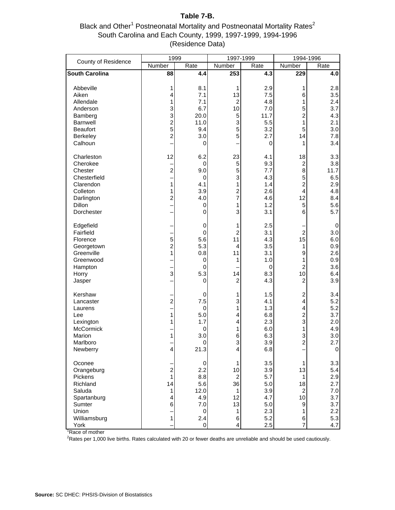# **Table 7-B.**

Black and Other<sup>1</sup> Postneonatal Mortality and Postneonatal Mortality Rates<sup>2</sup> South Carolina and Each County, 1999, 1997-1999, 1994-1996 (Residence Data)

| County of Residence                                                                                                     | 1999                                                                             |                                                                       | 1997-1999                                                    |                                                                    | 1994-1996                                                                                     |                                                                    |
|-------------------------------------------------------------------------------------------------------------------------|----------------------------------------------------------------------------------|-----------------------------------------------------------------------|--------------------------------------------------------------|--------------------------------------------------------------------|-----------------------------------------------------------------------------------------------|--------------------------------------------------------------------|
|                                                                                                                         | Number                                                                           | Rate                                                                  | Number                                                       | Rate                                                               | Number                                                                                        | Rate                                                               |
| <b>South Carolina</b>                                                                                                   | 88                                                                               | 4.4                                                                   | 253                                                          | 4.3                                                                | 229                                                                                           | 4.0                                                                |
| Abbeville<br>Aiken<br>Allendale<br>Anderson<br>Bamberg<br>Barnwell<br><b>Beaufort</b><br>Berkeley<br>Calhoun            | 1<br>4<br>1<br>3<br>3<br>$\overline{\mathbf{c}}$<br>5<br>$\overline{\mathbf{c}}$ | 8.1<br>7.1<br>7.1<br>6.7<br>20.0<br>11.0<br>9.4<br>3.0<br>0           | 1<br>13<br>$\overline{c}$<br>10<br>5<br>3<br>5<br>5          | 2.9<br>7.5<br>4.8<br>7.0<br>11.7<br>5.5<br>3.2<br>2.7<br>0         | 1<br>6<br>1<br>5<br>$\overline{c}$<br>1<br>5<br>14<br>1                                       | 2.8<br>3.5<br>2.4<br>3.7<br>4.3<br>2.1<br>3.0<br>7.8<br>3.4        |
| Charleston<br>Cherokee<br>Chester<br>Chesterfield<br>Clarendon<br>Colleton<br>Darlington<br><b>Dillon</b><br>Dorchester | 12<br>$\overline{a}$<br>1<br>1<br>$\overline{\mathbf{c}}$                        | 6.2<br>$\mathbf 0$<br>9.0<br>0<br>4.1<br>3.9<br>4.0<br>0<br>0         | 23<br>5<br>5<br>3<br>1<br>2<br>7<br>1<br>3                   | 4.1<br>9.3<br>7.7<br>4.3<br>1.4<br>2.6<br>4.6<br>1.2<br>3.1        | 18<br>$\overline{c}$<br>8<br>5<br>$\overline{c}$<br>4<br>12<br>5<br>6                         | 3.3<br>3.8<br>11.7<br>6.5<br>2.9<br>4.8<br>8.4<br>5.6<br>5.7       |
| Edgefield<br>Fairfield<br>Florence<br>Georgetown<br>Greenville<br>Greenwood<br>Hampton<br>Horry<br>Jasper               | 5<br>$\overline{c}$<br>1<br>3                                                    | 0<br>0<br>5.6<br>5.3<br>0.8<br>0<br>$\mathbf 0$<br>5.3<br>$\mathbf 0$ | 1<br>$\overline{c}$<br>11<br>4<br>11<br>1<br>14<br>2         | 2.5<br>3.1<br>4.3<br>3.5<br>3.1<br>1.0<br>0<br>8.3<br>4.3          | $\overline{c}$<br>15<br>1<br>9<br>1<br>$\overline{c}$<br>10<br>$\overline{c}$                 | 0<br>3.0<br>6.0<br>0.9<br>2.6<br>0.9<br>3.6<br>6.4<br>3.9          |
| Kershaw<br>Lancaster<br>Laurens<br>Lee<br>Lexington<br>McCormick<br>Marion<br>Marlboro<br>Newberry                      | $\overline{a}$<br>—<br>1<br>1<br>1<br>4                                          | 0<br>7.5<br>0<br>5.0<br>1.7<br>0<br>3.0<br>U<br>21.3                  | 1<br>3<br>1<br>4<br>4<br>1<br>6<br>3<br>4                    | 1.5<br>4.1<br>1.3<br>6.8<br>2.3<br>6.0<br>6.3<br>3.9<br>6.8        | $\overline{\mathbf{c}}$<br>4<br>4<br>$\overline{\mathbf{c}}$<br>3<br>1<br>3<br>$\overline{c}$ | 3.4<br>5.2<br>5.2<br>3.7<br>2.0<br>4.9<br>3.0<br>2.7<br>$\pmb{0}$  |
| Oconee<br>Orangeburg<br>Pickens<br>Richland<br>Saluda<br>Spartanburg<br>Sumter<br>Union<br>Williamsburg<br>York         | $\overline{\mathbf{c}}$<br>$\mathbf{1}$<br>14<br>1<br>4<br>6<br>$\frac{1}{1}$    | 0<br>2.2<br>8.8<br>5.6<br>12.0<br>4.9<br>7.0<br>0<br>2.4<br>0         | 1<br>10<br>$\mathbf 2$<br>36<br>1<br>12<br>13<br>1<br>6<br>4 | 3.5<br>3.9<br>5.7<br>5.0<br>3.9<br>4.7<br>5.0<br>2.3<br>5.2<br>2.5 | 1<br>13<br>1<br>18<br>$\overline{c}$<br>10<br>9<br>1<br>6<br>$\overline{7}$                   | 3.3<br>5.4<br>2.9<br>2.7<br>7.0<br>3.7<br>3.7<br>2.2<br>5.3<br>4.7 |

<sup>1</sup>Race of mother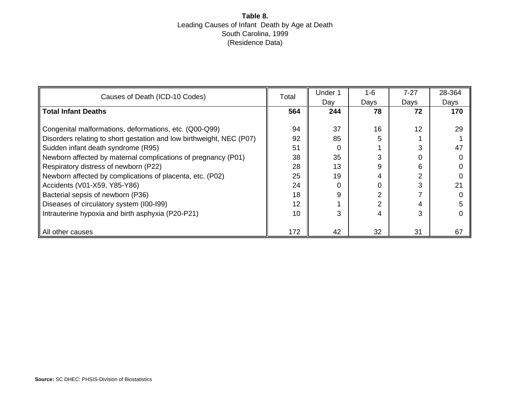## **Table 8.** Leading Causes of Infant Death by Age at Death South Carolina, 1999 (Residence Data)

| Causes of Death (ICD-10 Codes)                                       | Total | Under 1  | $1 - 6$        | $7 - 27$ | 28-364 |
|----------------------------------------------------------------------|-------|----------|----------------|----------|--------|
|                                                                      |       | Day      | Days           | Days     | Days   |
| <b>Total Infant Deaths</b>                                           | 564   | 244      | 78             | 72       | 170    |
|                                                                      |       |          |                |          |        |
| Congenital malformations, deformations, etc. (Q00-Q99)               | 94    | 37       | 16             | 12       | 29     |
| Disorders relating to short gestation and low birthweight, NEC (P07) | 92    | 85       | 5              |          |        |
| Sudden infant death syndrome (R95)                                   | 51    | 0        |                | 3        | 47     |
| Newborn affected by maternal complications of pregnancy (P01)        | 38    | 35       | 3              | 0        |        |
| Respiratory distress of newborn (P22)                                | 28    | 13       | 9              | 6        |        |
| Newborn affected by complications of placenta, etc. (P02)            | 25    | 19       | 4              | 2        |        |
| Accidents (V01-X59, Y85-Y86)                                         | 24    | $\Omega$ |                | 3        | 21     |
| Bacterial sepsis of newborn (P36)                                    | 18    | 9        | 2              |          |        |
| Diseases of circulatory system (I00-I99)                             | 12    |          | $\overline{2}$ | 4        |        |
| Intrauterine hypoxia and birth asphyxia (P20-P21)                    | 10    | 3        | 4              | 3        |        |
|                                                                      |       |          |                |          |        |
| All other causes                                                     | 172   | 42       | 32             | 31       | 67     |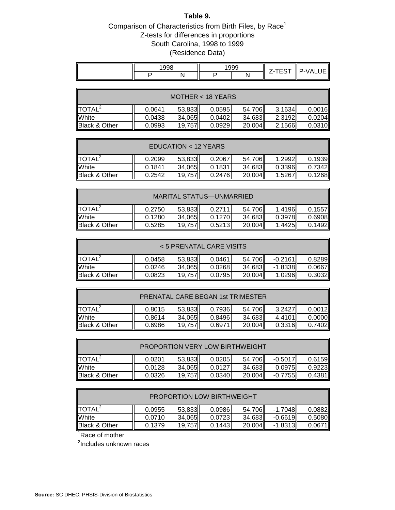#### **Table 9.**

# Comparison of Characteristics from Birth Files, by  $\mathsf{Race}^1$ Z-tests for differences in proportions South Carolina, 1998 to 1999 (Residence Data)

|  | $-0.0$ |  |  | $- - - -$<br>. . | $\mathbf{\mathbf{a}}$ |
|--|--------|--|--|------------------|-----------------------|
|  |        |  |  |                  |                       |

| $MOTHER < 18$ YEARS      |        |        |        |        |        |        |  |  |
|--------------------------|--------|--------|--------|--------|--------|--------|--|--|
| $\textsf{ITOTAL}^2$      | 0.0641 | 53,833 | 0.0595 | 54,706 | 3.1634 | 0.0016 |  |  |
| <b>White</b>             | 0.0438 | 34,065 | 0.0402 | 34,683 | 2.3192 | 0.0204 |  |  |
| <b>Black &amp; Other</b> | 0.0993 | 19,757 | 0.0929 | 20,004 | 2.1566 | 0.0310 |  |  |

| EDUCATION < 12 YEARS   |                                                 |        |        |        |        |        |  |
|------------------------|-------------------------------------------------|--------|--------|--------|--------|--------|--|
| $I$ TOTAL <sup>2</sup> | 0.2099                                          | 53,833 | 0.2067 | 54,706 | 1.2992 | 0.1939 |  |
| <b>White</b>           | 0.1841                                          | 34,065 | 0.1831 | 34,683 | 0.3396 | 0.7342 |  |
| Black & Other          | 20,004<br>0.2542<br>1.5267<br>0.2476<br>19.757I |        |        |        |        |        |  |

| MARITAL STATUS—UNMARRIED                                                  |        |        |        |        |          |        |  |  |
|---------------------------------------------------------------------------|--------|--------|--------|--------|----------|--------|--|--|
| $\textsf{ITOTAL}^2$                                                       | 0.2750 | 53,833 | 0.2711 | 54,706 | 1.4196II | 0.1557 |  |  |
| White                                                                     | 0.1280 | 34,065 | 0.1270 | 34,683 | 0.3978   | 0.6908 |  |  |
| Black & Other<br>19,757<br>1.4425<br>0.1492<br>20,004<br>0.5285<br>0.5213 |        |        |        |        |          |        |  |  |

| < 5 PRENATAL CARE VISITS                                                             |        |        |        |        |           |        |  |  |
|--------------------------------------------------------------------------------------|--------|--------|--------|--------|-----------|--------|--|--|
| <b>ITOTAL</b>                                                                        | 0.0458 | 53,833 | 0.0461 | 54,706 | $-0.2161$ | 0.8289 |  |  |
| White                                                                                | 0.0246 | 34,065 | 0.0268 | 34,683 | $-1.8338$ | 0.0667 |  |  |
| <b>Black &amp; Other</b><br>20,004<br>0.0823<br>19,757<br>0.3032<br>1.0296<br>0.0795 |        |        |        |        |           |        |  |  |

| <b>PRENATAL CARE BEGAN 1st TRIMESTER</b>                                              |        |        |        |        |        |        |  |  |
|---------------------------------------------------------------------------------------|--------|--------|--------|--------|--------|--------|--|--|
| $\text{TOTAL}^2$                                                                      | 0.8015 | 53,833 | 0.7936 | 54,706 | 3.2427 | 0.0012 |  |  |
| White                                                                                 | 0.8614 | 34,065 | 0.8496 | 34,683 | 4.4101 | 0.0000 |  |  |
| <b>Black &amp; Other</b><br>20,004<br>19,757<br>0.69861<br>0.3316<br>0.7402<br>0.6971 |        |        |        |        |        |        |  |  |

| <b>PROPORTION VERY LOW BIRTHWEIGHT</b>                                       |        |        |        |        |           |             |  |  |  |
|------------------------------------------------------------------------------|--------|--------|--------|--------|-----------|-------------|--|--|--|
| $\text{DTAL}^2$                                                              | 0.0201 | 53,833 | 0.0205 | 54,706 | $-0.5017$ | 0.6159      |  |  |  |
| <b>White</b>                                                                 | 0.0128 | 34,065 | 0.0127 | 34,683 | 0.0975    | $0.9223$ ll |  |  |  |
| Black & Other<br>20,004<br>0.0326<br>19,757<br>0.0340<br>$-0.7755$<br>0.4381 |        |        |        |        |           |             |  |  |  |

| <b>PROPORTION LOW BIRTHWEIGHT</b>                                                                |        |        |        |        |           |        |  |  |
|--------------------------------------------------------------------------------------------------|--------|--------|--------|--------|-----------|--------|--|--|
| $\blacksquare$ TOTAL <sup>2</sup><br>53,833<br>$-1.7048$<br>54,706<br>0.0882<br>0.0986<br>0.0955 |        |        |        |        |           |        |  |  |
| <b>White</b>                                                                                     | 0.0710 | 34,065 | 0.0723 | 34,683 | $-0.6619$ | 0.5080 |  |  |
| Black & Other<br>$-1.8313$<br>20,004<br>0.1379<br>19,757<br>0.1443<br>0.0671                     |        |        |        |        |           |        |  |  |

<sup>1</sup>Race of mother

<sup>2</sup>Includes unknown races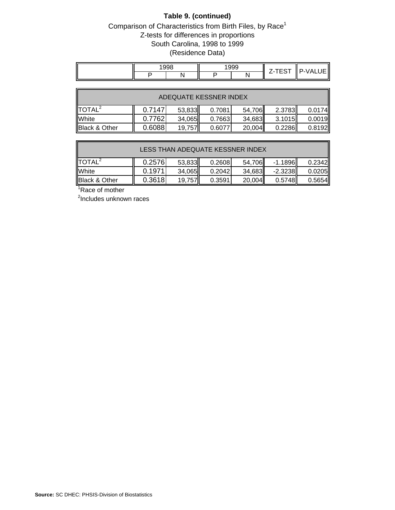# **Table 9. (continued)**

## Comparison of Characteristics from Birth Files, by Race<sup>1</sup> Z-tests for differences in proportions South Carolina, 1998 to 1999 (Residence Data)

| $\sim$ $\sim$ $\sim$ |  | .99c |  | -----<br>. . | $\overline{\phantom{a}}$<br>' = \ /<br>_ |
|----------------------|--|------|--|--------------|------------------------------------------|
|                      |  |      |  |              |                                          |

| ADEQUATE KESSNER INDEX |                                                          |        |        |        |        |        |  |  |  |
|------------------------|----------------------------------------------------------|--------|--------|--------|--------|--------|--|--|--|
| $\text{DTAL}^2$        | 0.7147<br>2.3783<br>53,833<br>0.7081<br>54,706<br>0.0174 |        |        |        |        |        |  |  |  |
| <b>White</b>           | 0.7762                                                   | 34,065 | 0.7663 | 34,683 | 3.1015 | 0.0019 |  |  |  |
| Black & Other          | 0.6088<br>0.2286<br>20,004<br>0.8192<br>19,757<br>0.6077 |        |        |        |        |        |  |  |  |

| LESS THAN ADEQUATE KESSNER INDEX |                                                          |        |        |        |           |             |  |  |  |
|----------------------------------|----------------------------------------------------------|--------|--------|--------|-----------|-------------|--|--|--|
| TOTAL <sup>2</sup>               | 0.2576                                                   | 53,833 | 0.2608 | 54,706 | $-1.1896$ | 0.2342      |  |  |  |
| White                            | 0.1971                                                   | 34,065 | 0.2042 | 34,683 | $-2.3238$ | $0.0205$ ll |  |  |  |
| <b>Black &amp; Other</b>         | 0.3618<br>20,004<br>0.5748<br>19,757<br>0.3591<br>0.5654 |        |        |        |           |             |  |  |  |

<sup>1</sup>Race of mother

<sup>2</sup>Includes unknown races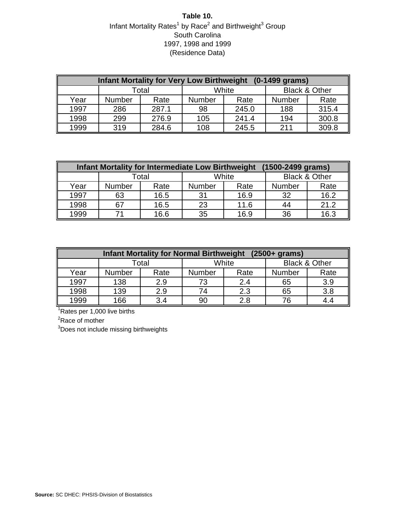# **Table 10.** Infant Mortality Rates<sup>1</sup> by Race<sup>2</sup> and Birthweight<sup>3</sup> Group South Carolina 1997, 1998 and 1999 (Residence Data)

| <b>Infant Mortality for Very Low Birthweight</b><br>$(0-1499 \text{ grams})$ |               |       |               |       |               |                          |  |  |  |
|------------------------------------------------------------------------------|---------------|-------|---------------|-------|---------------|--------------------------|--|--|--|
|                                                                              |               | Total |               | White |               | <b>Black &amp; Other</b> |  |  |  |
| Year                                                                         | <b>Number</b> | Rate  | <b>Number</b> | Rate  | <b>Number</b> | Rate                     |  |  |  |
| 1997                                                                         | 286           | 287.1 | 98            | 245.0 | 188           | 315.4                    |  |  |  |
| 1998                                                                         | 299           | 276.9 | 105           | 241.4 | 194           | 300.8                    |  |  |  |
| 1999                                                                         | 319           | 284.6 | 108           | 245.5 | 211           | 309.8                    |  |  |  |

| (1500-2499 grams)<br><b>Infant Mortality for Intermediate Low Birthweight</b> |               |       |        |       |                          |      |  |  |  |
|-------------------------------------------------------------------------------|---------------|-------|--------|-------|--------------------------|------|--|--|--|
|                                                                               |               | Total |        | White | <b>Black &amp; Other</b> |      |  |  |  |
| Year                                                                          | <b>Number</b> | Rate  | Number | Rate  | Number                   | Rate |  |  |  |
| 1997                                                                          | 63            | 16.5  | 31     | 16.9  | 32                       | 16.2 |  |  |  |
| 1998                                                                          | 67            | 16.5  | 23     | 11.6  | 44                       | 21.2 |  |  |  |
| 1999                                                                          | 71            | 16.6  | 35     | 16.9  | 36                       | 16.3 |  |  |  |

| <b>Infant Mortality for Normal Birthweight</b><br>$(2500 + $ grams) |                |      |                       |     |               |                          |  |  |  |
|---------------------------------------------------------------------|----------------|------|-----------------------|-----|---------------|--------------------------|--|--|--|
|                                                                     | White<br>Total |      |                       |     |               | <b>Black &amp; Other</b> |  |  |  |
| Year                                                                | Number         | Rate | <b>Number</b><br>Rate |     | <b>Number</b> | Rate                     |  |  |  |
| 1997                                                                | 138            | 2.9  | 73                    | 2.4 | 65            | 3.9                      |  |  |  |
| 1998                                                                | 139            | 2.9  | 74                    | 2.3 | 65            | 3.8                      |  |  |  |
| 1999                                                                | 166            | 3.4  | 90                    | 2.8 | 76            |                          |  |  |  |

<sup>1</sup>Rates per 1,000 live births

 ${}^{2}$ Race of mother

<sup>3</sup>Does not include missing birthweights